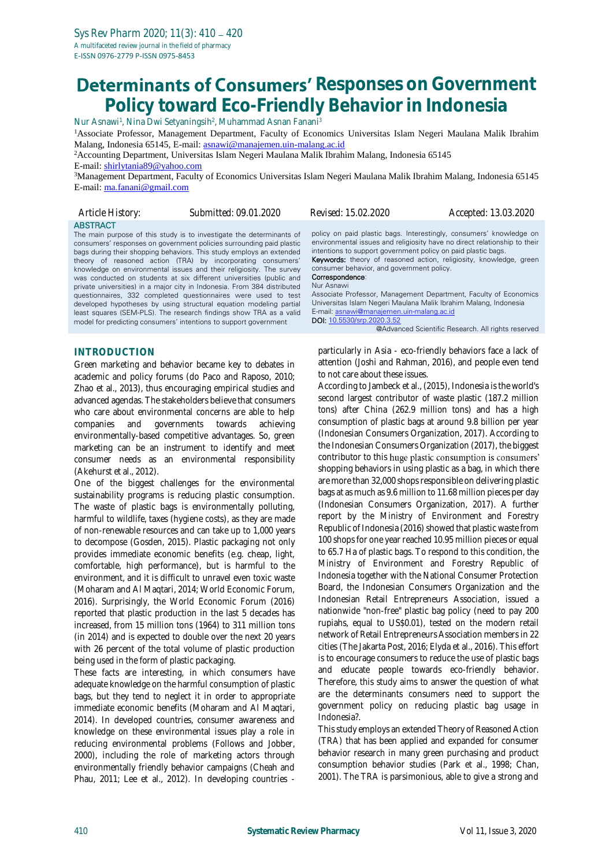# **Determinants of Consumers' Responses on Government Policy toward Eco-Friendly Behavior in Indonesia**

Nur Asnawi<sup>1</sup>, Nina Dwi Setyaningsih<sup>2</sup>, Muhammad Asnan Fanani<sup>3</sup> <sup>1</sup>Associate Professor, Management Department, Faculty of Economics Universitas Islam Negeri Maulana Malik Ibrahim Malang, Indonesia 65145, E-mail[: asnawi@manajemen.uin-malang.ac.id](mailto:asnawi@manajemen.uin-malang.ac.id)

<sup>2</sup>Accounting Department, Universitas Islam Negeri Maulana Malik Ibrahim Malang, Indonesia 65145 E-mail: [shirlytania89@yahoo.com](mailto:shirlytania89@yahoo.com)

<sup>3</sup>Management Department, Faculty of Economics Universitas Islam Negeri Maulana Malik Ibrahim Malang, Indonesia 65145 E-mail: [ma.fanani@gmail.com](mailto:ma.fanani@gmail.com)

| Article History:    | Submitted: 09.01.2020                                                                                                                                                                                                                                                                                                                                                                                                                                                                                                                                                                                                                                                                                                                                                                           | <i>Revised: 15.02.2020</i>                                                                                                                                                                                                                                                                        | Accepted: 13.03.2020                                                                                                                                                                                                                                                                                                                             |
|---------------------|-------------------------------------------------------------------------------------------------------------------------------------------------------------------------------------------------------------------------------------------------------------------------------------------------------------------------------------------------------------------------------------------------------------------------------------------------------------------------------------------------------------------------------------------------------------------------------------------------------------------------------------------------------------------------------------------------------------------------------------------------------------------------------------------------|---------------------------------------------------------------------------------------------------------------------------------------------------------------------------------------------------------------------------------------------------------------------------------------------------|--------------------------------------------------------------------------------------------------------------------------------------------------------------------------------------------------------------------------------------------------------------------------------------------------------------------------------------------------|
| <b>ABSTRACT</b>     | The main purpose of this study is to investigate the determinants of<br>consumers' responses on government policies surrounding paid plastic<br>bags during their shopping behaviors. This study employs an extended<br>theory of reasoned action (TRA) by incorporating consumers'<br>knowledge on environmental issues and their religiosity. The survey<br>was conducted on students at six different universities (public and<br>private universities) in a major city in Indonesia. From 384 distributed<br>questionnaires, 332 completed questionnaires were used to test<br>developed hypotheses by using structural equation modeling partial<br>least squares (SEM-PLS). The research findings show TRA as a valid<br>model for predicting consumers' intentions to support government | intentions to support government policy on paid plastic bags.<br>consumer behavior, and government policy.<br>Correspondence:<br>Nur Asnawi<br>Universitas Islam Negeri Maulana Malik Ibrahim Malang, Indonesia<br>E-mail: asnawi@manajemen.uin-malang.ac.id<br><b>DOI:</b> 10.5530/srp.2020.3.52 | policy on paid plastic bags. Interestingly, consumers' knowledge on<br>environmental issues and religiosity have no direct relationship to their<br>Keywords: theory of reasoned action, religiosity, knowledge, green<br>Associate Professor, Management Department, Faculty of Economics<br>@Advanced Scientific Research. All rights reserved |
| <b>INTRODUCTION</b> | Green marketing and hebavior herame key to debates in                                                                                                                                                                                                                                                                                                                                                                                                                                                                                                                                                                                                                                                                                                                                           |                                                                                                                                                                                                                                                                                                   | particularly in Asia - eco-friendly behaviors face a lack of<br>attention (Joshi and Rahman, 2016), and people even tend                                                                                                                                                                                                                         |

Green marketing and behavior became key to debates in academic and policy forums (do Paco and Raposo, 2010; Zhao et al., 2013), thus encouraging empirical studies and advanced agendas. The stakeholders believe that consumers who care about environmental concerns are able to help companies and governments towards achieving environmentally-based competitive advantages. So, green marketing can be an instrument to identify and meet consumer needs as an environmental responsibility (Akehurst et al., 2012).

One of the biggest challenges for the environmental sustainability programs is reducing plastic consumption. The waste of plastic bags is environmentally polluting, harmful to wildlife, taxes (hygiene costs), as they are made of non-renewable resources and can take up to 1,000 years to decompose (Gosden, 2015). Plastic packaging not only provides immediate economic benefits (e.g. cheap, light, comfortable, high performance), but is harmful to the environment, and it is difficult to unravel even toxic waste (Moharam and Al Maqtari, 2014; World Economic Forum, 2016). Surprisingly, the World Economic Forum (2016) reported that plastic production in the last 5 decades has increased, from 15 million tons (1964) to 311 million tons (in 2014) and is expected to double over the next 20 years with 26 percent of the total volume of plastic production being used in the form of plastic packaging.

These facts are interesting, in which consumers have adequate knowledge on the harmful consumption of plastic bags, but they tend to neglect it in order to appropriate immediate economic benefits (Moharam and Al Maqtari, 2014). In developed countries, consumer awareness and knowledge on these environmental issues play a role in reducing environmental problems (Follows and Jobber, 2000), including the role of marketing actors through environmentally friendly behavior campaigns (Cheah and Phau, 2011; Lee et al., 2012). In developing countries -

attention (Joshi and Rahman, 2016), and people even tend to not care about these issues. According to Jambeck et al., (2015), Indonesia is the world's

second largest contributor of waste plastic (187.2 million tons) after China (262.9 million tons) and has a high consumption of plastic bags at around 9.8 billion per year (Indonesian Consumers Organization, 2017). According to the Indonesian Consumers Organization (2017), the biggest contributor to this huge plastic consumption is consumers' shopping behaviors in using plastic as a bag, in which there are more than 32,000 shops responsible on delivering plastic bags at as much as 9.6 million to 11.68 million pieces per day (Indonesian Consumers Organization, 2017). A further report by the Ministry of Environment and Forestry Republic of Indonesia (2016) showed that plastic waste from 100 shops for one year reached 10.95 million pieces or equal to 65.7 Ha of plastic bags. To respond to this condition, the Ministry of Environment and Forestry Republic of Indonesia together with the National Consumer Protection Board, the Indonesian Consumers Organization and the Indonesian Retail Entrepreneurs Association, issued a nationwide "non-free" plastic bag policy (need to pay 200 rupiahs, equal to US\$0.01), tested on the modern retail network of Retail Entrepreneurs Association members in 22 cities (The Jakarta Post, 2016; Elyda et al., 2016). This effort is to encourage consumers to reduce the use of plastic bags and educate people towards eco-friendly behavior. Therefore, this study aims to answer the question of what are the determinants consumers need to support the government policy on reducing plastic bag usage in Indonesia?.

This study employs an extended Theory of Reasoned Action (TRA) that has been applied and expanded for consumer behavior research in many green purchasing and product consumption behavior studies (Park et al., 1998; Chan, 2001). The TRA is parsimonious, able to give a strong and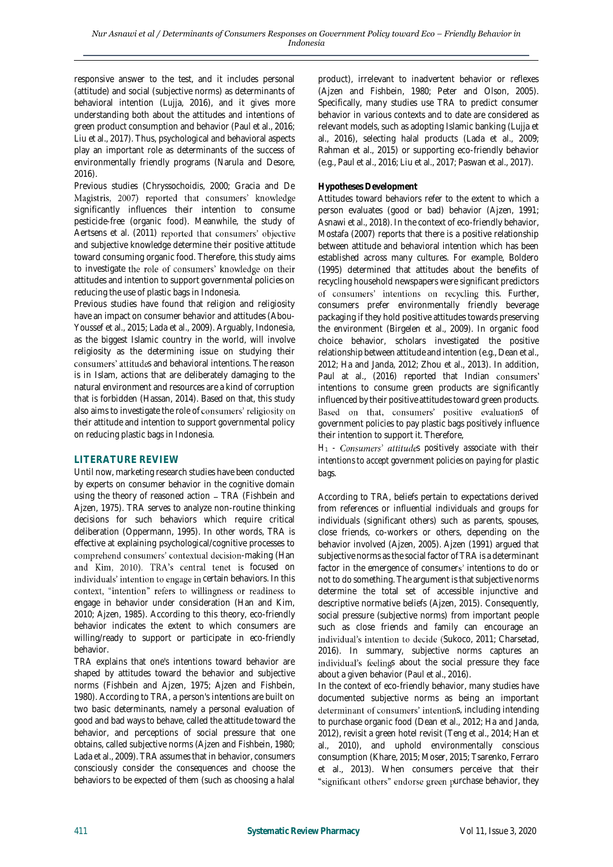responsive answer to the test, and it includes personal (attitude) and social (subjective norms) as determinants of behavioral intention (Lujja, 2016), and it gives more understanding both about the attitudes and intentions of green product consumption and behavior (Paul et al., 2016; Liu et al., 2017). Thus, psychological and behavioral aspects play an important role as determinants of the success of environmentally friendly programs (Narula and Desore, 2016).

Previous studies (Chryssochoidis, 2000; Gracia and De Magistris, 2007) reported that consumers' knowledge significantly influences their intention to consume pesticide-free (organic food). Meanwhile, the study of Aertsens et al. (2011) reported that consumers' objective and subjective knowledge determine their positive attitude toward consuming organic food. Therefore, this study aims to investigate the role of consumers' knowledge on their attitudes and intention to support governmental policies on reducing the use of plastic bags in Indonesia.

Previous studies have found that religion and religiosity have an impact on consumer behavior and attitudes (Abou-Youssef et al., 2015; Lada et al., 2009). Arguably, Indonesia, as the biggest Islamic country in the world, will involve religiosity as the determining issue on studying their consumers' attitudes and behavioral intentions. The reason is in Islam, actions that are deliberately damaging to the natural environment and resources are a kind of corruption that is forbidden (Hassan, 2014). Based on that, this study also aims to investigate the role of consumers' religiosity on their attitude and intention to support governmental policy on reducing plastic bags in Indonesia.

## **LITERATURE REVIEW**

Until now, marketing research studies have been conducted by experts on consumer behavior in the cognitive domain using the theory of reasoned action - TRA (Fishbein and Ajzen, 1975). TRA serves to analyze non-routine thinking decisions for such behaviors which require critical deliberation (Oppermann, 1995). In other words, TRA is effective at explaining psychological/cognitive processes to comprehend consumers' contextual decision-making (Han and Kim, 2010). TRA's central tenet is focused on individuals' intention to engage in certain behaviors. In this context, "intention" refers to willingness or readiness to engage in behavior under consideration (Han and Kim, 2010; Ajzen, 1985). According to this theory, eco-friendly behavior indicates the extent to which consumers are willing/ready to support or participate in eco-friendly behavior.

TRA explains that one's intentions toward behavior are shaped by attitudes toward the behavior and subjective norms (Fishbein and Ajzen, 1975; Ajzen and Fishbein, 1980). According to TRA, a person's intentions are built on two basic determinants, namely a personal evaluation of good and bad ways to behave, called the attitude toward the behavior, and perceptions of social pressure that one obtains, called subjective norms (Ajzen and Fishbein, 1980; Lada et al., 2009). TRA assumes that in behavior, consumers consciously consider the consequences and choose the behaviors to be expected of them (such as choosing a halal

product), irrelevant to inadvertent behavior or reflexes (Ajzen and Fishbein, 1980; Peter and Olson, 2005). Specifically, many studies use TRA to predict consumer behavior in various contexts and to date are considered as relevant models, such as adopting Islamic banking (Lujja et al., 2016), selecting halal products (Lada et al., 2009; Rahman et al., 2015) or supporting eco-friendly behavior (e.g., Paul et al., 2016; Liu et al., 2017; Paswan et al., 2017).

#### **Hypotheses Development**

Attitudes toward behaviors refer to the extent to which a person evaluates (good or bad) behavior (Ajzen, 1991; Asnawi et al., 2018). In the context of eco-friendly behavior, Mostafa (2007) reports that there is a positive relationship between attitude and behavioral intention which has been established across many cultures. For example, Boldero (1995) determined that attitudes about the benefits of recycling household newspapers were significant predictors of consumers' intentions on recycling this. Further, consumers prefer environmentally friendly beverage packaging if they hold positive attitudes towards preserving the environment (Birgelen et al., 2009). In organic food choice behavior, scholars investigated the positive relationship between attitude and intention (e.g., Dean et al., 2012; Ha and Janda, 2012; Zhou et al., 2013). In addition, Paul at al., (2016) reported that Indian consumers' intentions to consume green products are significantly influenced by their positive attitudes toward green products. Based on that, consumers' positive evaluations of government policies to pay plastic bags positively influence their intention to support it. Therefore,

 $H_1$  *- Consumers' attitudes positively associate with their intentions to accept government policies on paying for plastic bags.*

According to TRA, beliefs pertain to expectations derived from references or influential individuals and groups for individuals (significant others) such as parents, spouses, close friends, co-workers or others, depending on the behavior involved (Ajzen, 2005). Ajzen (1991) argued that subjective norms as the social factor of TRA is a determinant factor in the emergence of consumers' intentions to do or not to do something. The argument is that subjective norms determine the total set of accessible injunctive and descriptive normative beliefs (Ajzen, 2015). Consequently, social pressure (subjective norms) from important people such as close friends and family can encourage an individual's intention to decide (Sukoco, 2011; Charsetad, 2016). In summary, subjective norms captures an individual's feelings about the social pressure they face about a given behavior (Paul et al., 2016).

In the context of eco-friendly behavior, many studies have documented subjective norms as being an important determinant of consumers' intentions, including intending to purchase organic food (Dean et al., 2012; Ha and Janda, 2012), revisit a green hotel revisit (Teng et al., 2014; Han et al., 2010), and uphold environmentally conscious consumption (Khare, 2015; Moser, 2015; Tsarenko, Ferraro et al., 2013). When consumers perceive that their "significant others" endorse green purchase behavior, they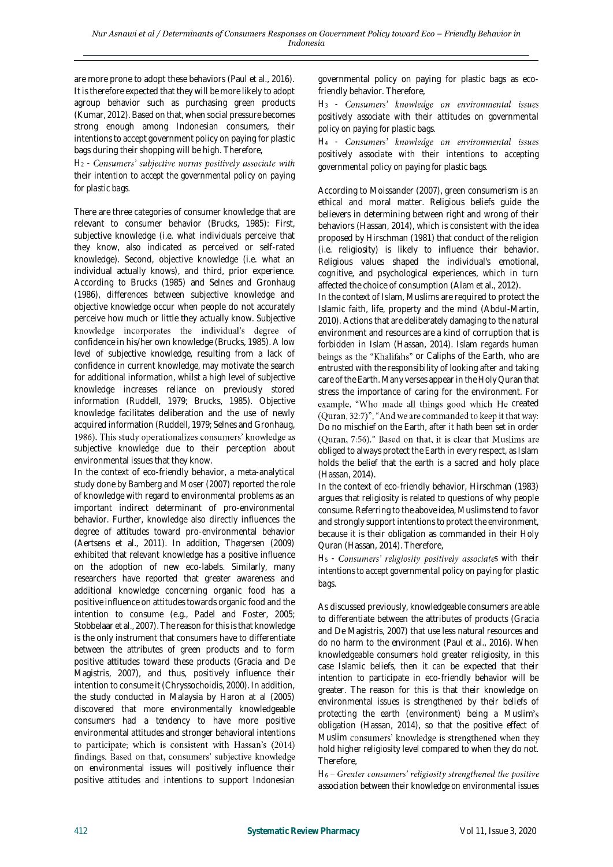are more prone to adopt these behaviors (Paul et al., 2016). It is therefore expected that they will be more likely to adopt agroup behavior such as purchasing green products (Kumar, 2012). Based on that, when social pressure becomes strong enough among Indonesian consumers, their intentions to accept government policy on paying for plastic bags during their shopping will be high. Therefore,

*H*<sub>2</sub> - Consumers' subjective norms positively associate with *their intention to accept the governmental policy on paying for plastic bags.*

There are three categories of consumer knowledge that are relevant to consumer behavior (Brucks, 1985): First, subjective knowledge (i.e. what individuals perceive that they know, also indicated as perceived or self-rated knowledge). Second, objective knowledge (i.e. what an individual actually knows), and third, prior experience. According to Brucks (1985) and Selnes and Gronhaug (1986), differences between subjective knowledge and objective knowledge occur when people do not accurately perceive how much or little they actually know. Subjective knowledge incorporates the individual's degree of confidence in his/her own knowledge (Brucks, 1985). A low level of subjective knowledge, resulting from a lack of confidence in current knowledge, may motivate the search for additional information, whilst a high level of subjective knowledge increases reliance on previously stored information (Ruddell, 1979; Brucks, 1985). Objective knowledge facilitates deliberation and the use of newly acquired information (Ruddell, 1979; Selnes and Gronhaug, 1986). This study operationalizes consumers' knowledge as subjective knowledge due to their perception about environmental issues that they know.

In the context of eco-friendly behavior, a meta-analytical study done by Bamberg and Moser (2007) reported the role of knowledge with regard to environmental problems as an important indirect determinant of pro-environmental behavior. Further, knowledge also directly influences the degree of attitudes toward pro-environmental behavior (Aertsens et al., 2011). In addition, Thøgersen (2009) exhibited that relevant knowledge has a positive influence on the adoption of new eco-labels. Similarly, many researchers have reported that greater awareness and additional knowledge concerning organic food has a positive influence on attitudes towards organic food and the intention to consume (e.g., Padel and Foster, 2005; Stobbelaar et al., 2007). The reason for this is that knowledge is the only instrument that consumers have to differentiate between the attributes of green products and to form positive attitudes toward these products (Gracia and De Magistris, 2007), and thus, positively influence their intention to consume it (Chryssochoidis, 2000). In addition, the study conducted in Malaysia by Haron at al (2005) discovered that more environmentally knowledgeable consumers had a tendency to have more positive environmental attitudes and stronger behavioral intentions to participate; which is consistent with Hassan's (2014) findings. Based on that, consumers' subjective knowledge on environmental issues will positively influence their positive attitudes and intentions to support Indonesian

governmental policy on paying for plastic bags as ecofriendly behavior. Therefore,

*H<sup>3</sup> positively associate with their attitudes on governmental policy on paying for plastic bags.*

*H<sup>4</sup> positively associate with their intentions to accepting governmental policy on paying for plastic bags.*

According to Moissander (2007), green consumerism is an ethical and moral matter. Religious beliefs guide the believers in determining between right and wrong of their behaviors (Hassan, 2014), which is consistent with the idea proposed by Hirschman (1981) that conduct of the religion (i.e. religiosity) is likely to influence their behavior. Religious values shaped the individual's emotional, cognitive, and psychological experiences, which in turn affected the choice of consumption (Alam et al., 2012).

In the context of Islam, Muslims are required to protect the Islamic faith, life, property and the mind (Abdul-Martin, 2010). Actions that are deliberately damaging to the natural environment and resources are a kind of corruption that is forbidden in Islam (Hassan, 2014). Islam regards human beings as the "Khalifahs" or Caliphs of the Earth, who are entrusted with the responsibility of looking after and taking care of the Earth. Many verses appear in the Holy Quran that stress the importance of caring for the environment. For example, "Who made all things good which He created (Quran, 32:7)", "And we are commanded to keep it that way: Do no mischief on the Earth, after it hath been set in order (Quran, 7:56)." Based on that, it is clear that Muslims are obliged to always protect the Earth in every respect, as Islam holds the belief that the earth is a sacred and holy place (Hassan, 2014).

In the context of eco-friendly behavior, Hirschman (1983) argues that religiosity is related to questions of why people consume. Referring to the above idea, Muslims tend to favor and strongly support intentions to protect the environment, because it is their obligation as commanded in their Holy Quran (Hassan, 2014). Therefore,

 $H<sub>5</sub>$  *- Consumers' religiosity positively associates with their intentions to accept governmental policy on paying for plastic bags.*

As discussed previously, knowledgeable consumers are able to differentiate between the attributes of products (Gracia and De Magistris, 2007) that use less natural resources and do no harm to the environment (Paul et al., 2016). When knowledgeable consumers hold greater religiosity, in this case Islamic beliefs, then it can be expected that their intention to participate in eco-friendly behavior will be greater. The reason for this is that their knowledge on environmental issues is strengthened by their beliefs of protecting the earth (environment) being a Muslim's obligation (Hassan, 2014), so that the positive effect of Muslim consumers' knowledge is strengthened when they hold higher religiosity level compared to when they do not. Therefore,

H<sub>6</sub> – Greater consumers' religiosity strengthened the positive *association between their knowledge on environmental issues*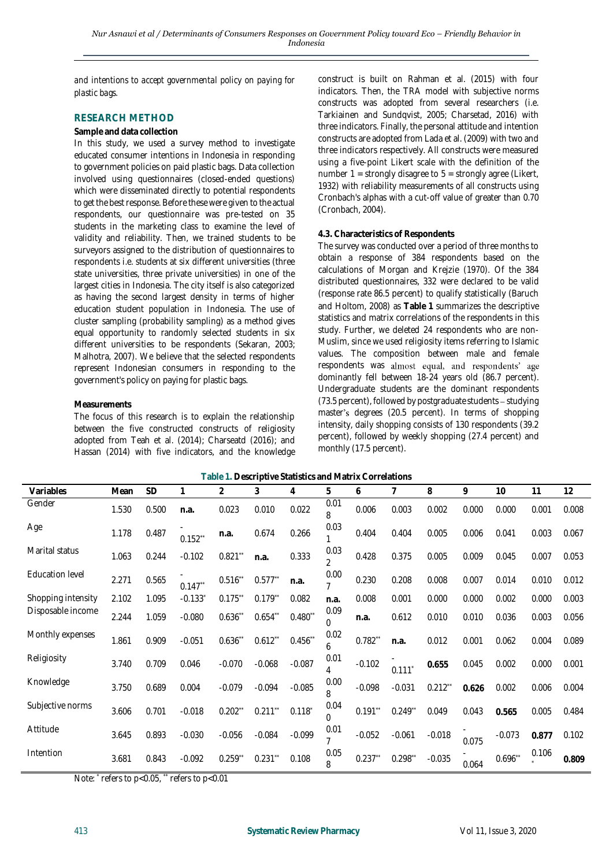*and intentions to accept governmental policy on paying for plastic bags.*

### **RESEARCH METHOD**

#### **Sample and data collection**

In this study, we used a survey method to investigate educated consumer intentions in Indonesia in responding to government policies on paid plastic bags. Data collection involved using questionnaires (closed-ended questions) which were disseminated directly to potential respondents to get the best response. Before these were given to the actual respondents, our questionnaire was pre-tested on 35 students in the marketing class to examine the level of validity and reliability. Then, we trained students to be surveyors assigned to the distribution of questionnaires to respondents i.e. students at six different universities (three state universities, three private universities) in one of the largest cities in Indonesia. The city itself is also categorized as having the second largest density in terms of higher education student population in Indonesia. The use of cluster sampling (probability sampling) as a method gives equal opportunity to randomly selected students in six different universities to be respondents (Sekaran, 2003; Malhotra, 2007). We believe that the selected respondents represent Indonesian consumers in responding to the government's policy on paying for plastic bags.

#### **Measurements**

The focus of this research is to explain the relationship between the five constructed constructs of religiosity adopted from Teah et al. (2014); Charseatd (2016); and Hassan (2014) with five indicators, and the knowledge construct is built on Rahman et al. (2015) with four indicators. Then, the TRA model with subjective norms constructs was adopted from several researchers (i.e. Tarkiainen and Sundqvist, 2005; Charsetad, 2016) with three indicators. Finally, the personal attitude and intention constructs are adopted from Lada et al. (2009) with two and three indicators respectively. All constructs were measured using a five-point Likert scale with the definition of the number  $1 =$  strongly disagree to  $5 =$  strongly agree (Likert, 1932) with reliability measurements of all constructs using Cronbach's alphas with a cut-off value of greater than 0.70 (Cronbach, 2004).

#### **4.3. Characteristics of Respondents**

The survey was conducted over a period of three months to obtain a response of 384 respondents based on the calculations of Morgan and Krejzie (1970). Of the 384 distributed questionnaires, 332 were declared to be valid (response rate 86.5 percent) to qualify statistically (Baruch and Holtom, 2008) as **Table 1** summarizes the descriptive statistics and matrix correlations of the respondents in this study. Further, we deleted 24 respondents who are non-Muslim, since we used religiosity items referring to Islamic values. The composition between male and female respondents was almost equal, and respondents' age dominantly fell between 18-24 years old (86.7 percent). Undergraduate students are the dominant respondents  $(73.5$  percent), followed by postgraduate students – studying master's degrees (20.5 percent). In terms of shopping intensity, daily shopping consists of 130 respondents (39.2 percent), followed by weekly shopping (27.4 percent) and monthly (17.5 percent).

| Table 1. Descriptive Statistics and Matrix Correlations |       |           |           |                      |            |           |                        |            |                      |           |       |           |       |       |
|---------------------------------------------------------|-------|-----------|-----------|----------------------|------------|-----------|------------------------|------------|----------------------|-----------|-------|-----------|-------|-------|
| Variables                                               | Mean  | <b>SD</b> | 1         | 2                    | 3          | 4         | 5                      | 6          |                      | 8         | 9     | 10        | 11    | 12    |
| Gender                                                  | 1.530 | 0.500     | n.a.      | 0.023                | 0.010      | 0.022     | 0.01<br>8              | 0.006      | 0.003                | 0.002     | 0.000 | 0.000     | 0.001 | 0.008 |
| Age                                                     | 1.178 | 0.487     | $0.152**$ | n.a.                 | 0.674      | 0.266     | 0.03                   | 0.404      | 0.404                | 0.005     | 0.006 | 0.041     | 0.003 | 0.067 |
| Marital status                                          | 1.063 | 0.244     | $-0.102$  | $0.821$ **           | n.a.       | 0.333     | 0.03<br>$\mathfrak{D}$ | 0.428      | 0.375                | 0.005     | 0.009 | 0.045     | 0.007 | 0.053 |
| Education level                                         | 2.271 | 0.565     | $0.147**$ | $0.516^{*}$          | $0.577**$  | n.a.      | 0.00                   | 0.230      | 0.208                | 0.008     | 0.007 | 0.014     | 0.010 | 0.012 |
| Shopping intensity                                      | 2.102 | 1.095     | $-0.133*$ | 0.175                | $0.179**$  | 0.082     | n.a.                   | 0.008      | 0.001                | 0.000     | 0.000 | 0.002     | 0.000 | 0.003 |
| Disposable income                                       | 2.244 | 1.059     | $-0.080$  | $0.636^{*}$          | $0.654$ ** | $0.480**$ | 0.09<br>0              | n.a.       | 0.612                | 0.010     | 0.010 | 0.036     | 0.003 | 0.056 |
| Monthly expenses                                        | 1.861 | 0.909     | $-0.051$  | $0.636*$             | $0.612$ ** | $0.456**$ | 0.02<br>6              | $0.782$ ** | n.a.                 | 0.012     | 0.001 | 0.062     | 0.004 | 0.089 |
| Religiosity                                             | 3.740 | 0.709     | 0.046     | $-0.070$             | $-0.068$   | $-0.087$  | 0.01<br>4              | $-0.102$   | $0.111$ <sup>*</sup> | 0.655     | 0.045 | 0.002     | 0.000 | 0.001 |
| Knowledge                                               | 3.750 | 0.689     | 0.004     | $-0.079$             | $-0.094$   | $-0.085$  | 0.00<br>8              | $-0.098$   | $-0.031$             | $0.212**$ | 0.626 | 0.002     | 0.006 | 0.004 |
| Subjective norms                                        | 3.606 | 0.701     | $-0.018$  | $0.202$ <sup>*</sup> | 0.211      | 0.118     | 0.04<br>0              | $0.191**$  | $0.249**$            | 0.049     | 0.043 | 0.565     | 0.005 | 0.484 |
| Attitude                                                | 3.645 | 0.893     | $-0.030$  | $-0.056$             | $-0.084$   | $-0.099$  | 0.01                   | $-0.052$   | $-0.061$             | $-0.018$  | 0.075 | $-0.073$  | 0.877 | 0.102 |
| Intention                                               | 3.681 | 0.843     | $-0.092$  | $0.259$ "            | 0.231      | 0.108     | 0.05<br>8              | $0.237**$  | $0.298**$            | $-0.035$  | 0.064 | $0.696**$ | 0.106 | 0.809 |

Note: \* refers to p<0.05, \*\* refers to p<0.01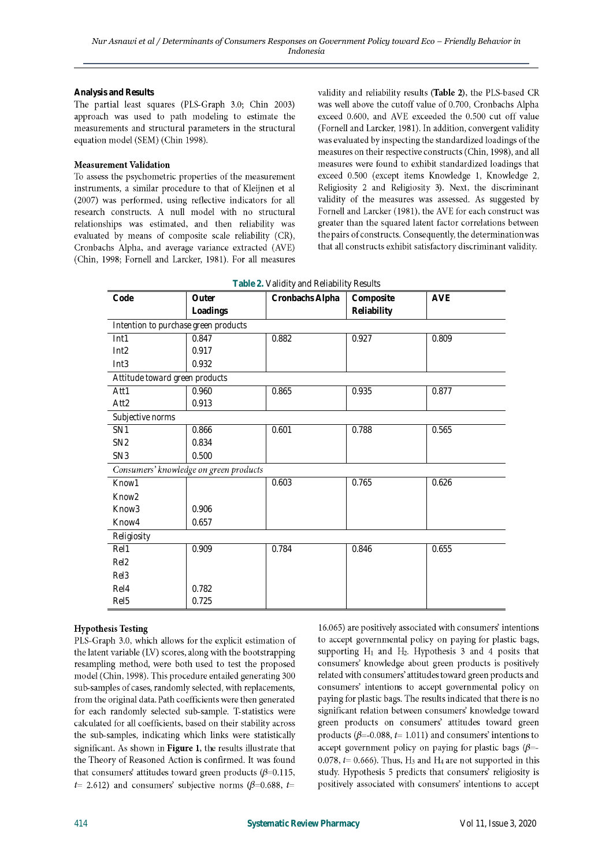**Analysis and Results** 

The partial least squares (PLS-Graph 3.0; Chin 2003) approach was used to path modeling to estimate the measurements and structural parameters in the structural equation model (SEM) (Chin 1998).

### **Measurement Validation**

To assess the psychometric properties of the measurement instruments, a similar procedure to that of Kleijnen et al (2007) was performed, using reflective indicators for all research constructs. A null model with no structural relationships was estimated, and then reliability was evaluated by means of composite scale reliability (CR), Cronbachs Alpha, and average variance extracted (AVE) (Chin, 1998; Fornell and Larcker, 1981). For all measures validity and reliability results (Table 2), the PLS-based CR was well above the cutoff value of 0.700, Cronbachs Alpha exceed 0.600, and AVE exceeded the 0.500 cut off value (Fornell and Larcker, 1981). In addition, convergent validity was evaluated by inspecting the standardized loadings of the measures on their respective constructs (Chin, 1998), and all measures were found to exhibit standardized loadings that exceed 0.500 (except items Knowledge 1, Knowledge 2, Religiosity 2 and Religiosity 3). Next, the discriminant validity of the measures was assessed. As suggested by Fornell and Larcker (1981), the AVE for each construct was greater than the squared latent factor correlations between the pairs of constructs. Consequently, the determination was that all constructs exhibit satisfactory discriminant validity.

| Code                                   | Outer    | Cronbachs Alpha | Composite   | <b>AVE</b> |  |  |  |
|----------------------------------------|----------|-----------------|-------------|------------|--|--|--|
|                                        | Loadings |                 | Reliability |            |  |  |  |
| Intention to purchase green products   |          |                 |             |            |  |  |  |
|                                        |          |                 |             |            |  |  |  |
| Int1                                   | 0.847    | 0.882           | 0.927       | 0.809      |  |  |  |
| Int2                                   | 0.917    |                 |             |            |  |  |  |
| Int3                                   | 0.932    |                 |             |            |  |  |  |
| Attitude toward green products         |          |                 |             |            |  |  |  |
| Att1                                   | 0.960    | 0.865           | 0.935       | 0.877      |  |  |  |
| Att2                                   | 0.913    |                 |             |            |  |  |  |
| Subjective norms                       |          |                 |             |            |  |  |  |
| SN <sub>1</sub>                        | 0.866    | 0.601           | 0.788       | 0.565      |  |  |  |
| SN <sub>2</sub>                        | 0.834    |                 |             |            |  |  |  |
| SN <sub>3</sub>                        | 0.500    |                 |             |            |  |  |  |
| Consumers' knowledge on green products |          |                 |             |            |  |  |  |
| Know1                                  |          | 0.603           | 0.765       | 0.626      |  |  |  |
| Know <sub>2</sub>                      |          |                 |             |            |  |  |  |
| Know <sub>3</sub>                      | 0.906    |                 |             |            |  |  |  |
| Know4                                  | 0.657    |                 |             |            |  |  |  |
| Religiosity                            |          |                 |             |            |  |  |  |
| Rel1                                   | 0.909    | 0.784           | 0.846       | 0.655      |  |  |  |
| Rel <sub>2</sub>                       |          |                 |             |            |  |  |  |
| Rel3                                   |          |                 |             |            |  |  |  |
| Rel4                                   | 0.782    |                 |             |            |  |  |  |
| Rel <sub>5</sub>                       | 0.725    |                 |             |            |  |  |  |

## **Hypothesis Testing**

PLS-Graph 3.0, which allows for the explicit estimation of the latent variable (LV) scores, along with the bootstrapping resampling method, were both used to test the proposed model (Chin, 1998). This procedure entailed generating 300 sub-samples of cases, randomly selected, with replacements, from the original data. Path coefficients were then generated for each randomly selected sub-sample. T-statistics were calculated for all coefficients, based on their stability across the sub-samples, indicating which links were statistically significant. As shown in Figure 1, the results illustrate that the Theory of Reasoned Action is confirmed. It was found that consumers' attitudes toward green products ( $\beta$ =0.115,  $t=$  2.612) and consumers' subjective norms ( $\beta$ =0.688,  $t=$ 

16.065) are positively associated with consumers' intentions to accept governmental policy on paying for plastic bags, supporting H<sub>1</sub> and H<sub>2</sub>. Hypothesis 3 and 4 posits that consumers' knowledge about green products is positively related with consumers' attitudes toward green products and consumers' intentions to accept governmental policy on paying for plastic bags. The results indicated that there is no significant relation between consumers' knowledge toward green products on consumers' attitudes toward green products ( $\beta$ =-0.088, t= 1.011) and consumers' intentions to accept government policy on paying for plastic bags ( $\beta$ =-0.078,  $t = 0.666$ ). Thus, H<sub>3</sub> and H<sub>4</sub> are not supported in this study. Hypothesis 5 predicts that consumers' religiosity is positively associated with consumers' intentions to accept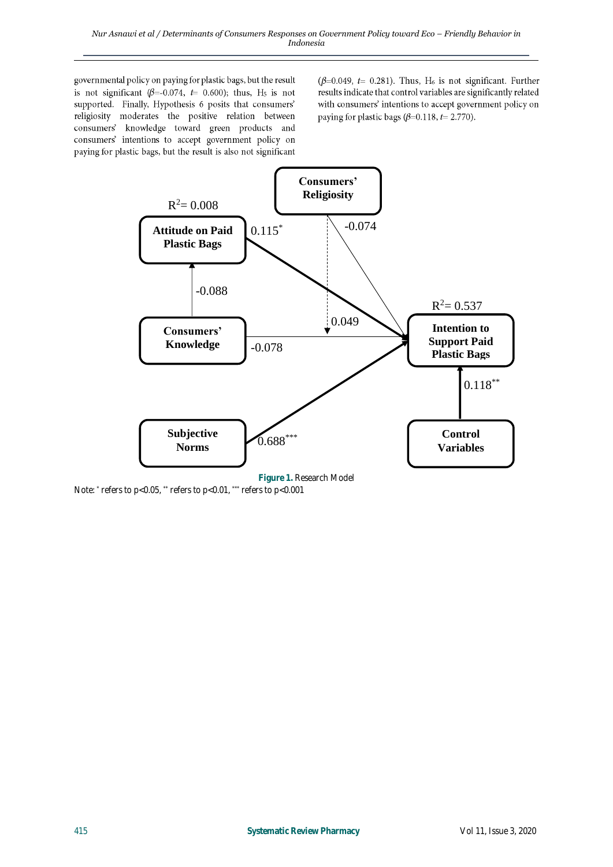governmental policy on paying for plastic bags, but the result is not significant ( $\beta$ =-0.074,  $t$ = 0.600); thus, H<sub>5</sub> is not supported. Finally, Hypothesis 6 posits that consumers' religiosity moderates the positive relation between consumers' knowledge toward green products and consumers' intentions to accept government policy on paying for plastic bags, but the result is also not significant

( $\beta$ =0.049, t= 0.281). Thus, H<sub>6</sub> is not significant. Further results indicate that control variables are significantly related with consumers' intentions to accept government policy on paying for plastic bags ( $\beta$ =0.118, t= 2.770).

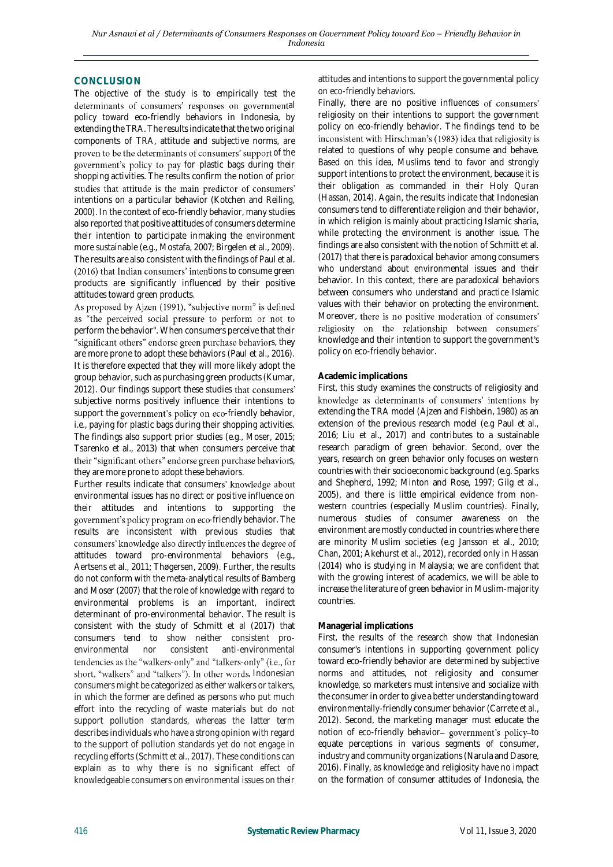## **CONCLUSION**

The objective of the study is to empirically test the determinants of consumers' responses on governmental policy toward eco-friendly behaviors in Indonesia, by extending the TRA. The results indicate that the two original components of TRA, attitude and subjective norms, are proven to be the determinants of consumers' support of the government's policy to pay for plastic bags during their shopping activities. The results confirm the notion of prior studies that attitude is the main predictor of consumers' intentions on a particular behavior (Kotchen and Reiling, 2000). In the context of eco-friendly behavior, many studies also reported that positive attitudes of consumers determine their intention to participate inmaking the environment more sustainable (e.g., Mostafa, 2007; Birgelen et al., 2009). The results are also consistent with the findings of Paul et al.  $(2016)$  that Indian consumers' intentions to consume green products are significantly influenced by their positive attitudes toward green products.<br>As proposed by Ajzen (1991), "subjective norm" is defined

as "the perceived social pressure to perform or not to perform the behavior". When consumers perceive that their "significant others" endorse green purchase behaviors, they are more prone to adopt these behaviors (Paul et al., 2016). It is therefore expected that they will more likely adopt the group behavior, such as purchasing green products (Kumar, 2012). Our findings support these studies that consumers' subjective norms positively influence their intentions to support the government's policy on eco-friendly behavior, i.e., paying for plastic bags during their shopping activities. The findings also support prior studies (e.g., Moser, 2015; Tsarenko et al., 2013) that when consumers perceive that their "significant others" endorse green purchase behaviors, they are more prone to adopt these behaviors.

Further results indicate that consumers' knowledge about environmental issues has no direct or positive influence on their attitudes and intentions to supporting the government's policy program on eco-friendly behavior. The results are inconsistent with previous studies that consumers' knowledge also directly influences the degree of attitudes toward pro-environmental behaviors (e.g., Aertsens et al., 2011; Thøgersen, 2009). Further, the results do not conform with the meta-analytical results of Bamberg and Moser (2007) that the role of knowledge with regard to environmental problems is an important, indirect determinant of pro-environmental behavior. The result is consistent with the study of Schmitt et al (2017) that consumers tend to show neither consistent proenvironmental nor consistent anti-environmental tendencies as the "walkers-only" and "talkers-only" (i.e., for short, "walkers" and "talkers"). In other words, Indonesian consumers might be categorized as either walkers or talkers, in which the former are defined as persons who put much effort into the recycling of waste materials but do not support pollution standards, whereas the latter term describes individuals who have a strong opinion with regard to the support of pollution standards yet do not engage in recycling efforts (Schmitt et al., 2017). These conditions can explain as to why there is no significant effect of knowledgeable consumers on environmental issues on their

attitudes and intentions to support the governmental policy on eco-friendly behaviors.

Finally, there are no positive influences of consumers' religiosity on their intentions to support the government policy on eco-friendly behavior. The findings tend to be inconsistent with Hirschman's (1983) idea that religiosity is related to questions of why people consume and behave. Based on this idea, Muslims tend to favor and strongly support intentions to protect the environment, because it is their obligation as commanded in their Holy Quran (Hassan, 2014). Again, the results indicate that Indonesian consumers tend to differentiate religion and their behavior, in which religion is mainly about practicing Islamic sharia, while protecting the environment is another issue. The findings are also consistent with the notion of Schmitt et al. (2017) that there is paradoxical behavior among consumers who understand about environmental issues and their behavior. In this context, there are paradoxical behaviors between consumers who understand and practice Islamic values with their behavior on protecting the environment. Moreover, there is no positive moderation of consumers' religiosity on the relationship between consumers' knowledge and their intention to support the government's policy on eco-friendly behavior.

#### **Academic implications**

First, this study examines the constructs of religiosity and knowledge as determinants of consumers' intentions by extending the TRA model (Ajzen and Fishbein, 1980) as an extension of the previous research model (e.g Paul et al., 2016; Liu et al., 2017) and contributes to a sustainable research paradigm of green behavior. Second, over the years, research on green behavior only focuses on western countries with their socioeconomic background (e.g. Sparks and Shepherd, 1992; Minton and Rose, 1997; Gilg et al., 2005), and there is little empirical evidence from nonwestern countries (especially Muslim countries). Finally, numerous studies of consumer awareness on the environment are mostly conducted in countries where there are minority Muslim societies (e.g Jansson et al., 2010; Chan, 2001; Akehurst et al., 2012), recorded only in Hassan (2014) who is studying in Malaysia; we are confident that with the growing interest of academics, we will be able to increase the literature of green behavior in Muslim-majority countries.

#### **Managerial implications**

First, the results of the research show that Indonesian consumer's intentions in supporting government policy toward eco-friendly behavior are determined by subjective norms and attitudes, not religiosity and consumer knowledge, so marketers must intensive and socialize with the consumer in order to give a better understanding toward environmentally-friendly consumer behavior (Carrete et al., 2012). Second, the marketing manager must educate the notion of eco-friendly behavior- government's policy-to equate perceptions in various segments of consumer, industry and community organizations (Narula and Dasore, 2016). Finally, as knowledge and religiosity have no impact on the formation of consumer attitudes of Indonesia, the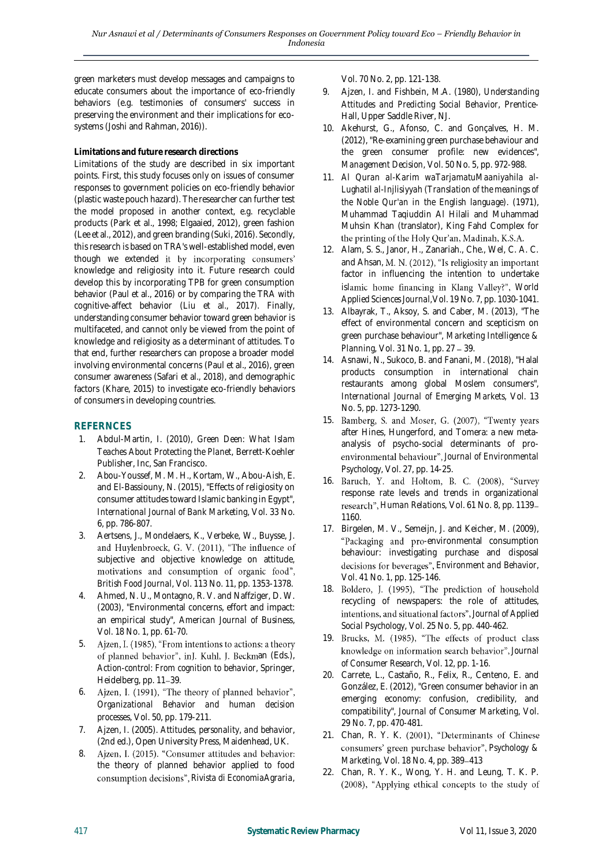green marketers must develop messages and campaigns to educate consumers about the importance of eco-friendly behaviors (e.g. testimonies of consumers' success in preserving the environment and their implications for ecosystems (Joshi and Rahman, 2016)).

## **Limitations and future research directions**

Limitations of the study are described in six important points. First, this study focuses only on issues of consumer responses to government policies on eco-friendly behavior (plastic waste pouch hazard). The researcher can further test the model proposed in another context, e.g. recyclable products (Park et al., 1998; Elgaaied, 2012), green fashion (Lee et al., 2012), and green branding (Suki, 2016). Secondly, this research is based on TRA's well-established model, even though we extended it by incorporating consumers' knowledge and religiosity into it. Future research could develop this by incorporating TPB for green consumption behavior (Paul et al., 2016) or by comparing the TRA with cognitive-affect behavior (Liu et al., 2017). Finally, understanding consumer behavior toward green behavior is multifaceted, and cannot only be viewed from the point of knowledge and religiosity as a determinant of attitudes. To that end, further researchers can propose a broader model involving environmental concerns (Paul et al., 2016), green consumer awareness (Safari et al., 2018), and demographic factors (Khare, 2015) to investigate eco-friendly behaviors of consumers in developing countries.

## **REFERNCES**

- 1. Abdul-Martin, I. (2010), *Green Deen: What Islam Teaches About Protecting the Planet*, Berrett-Koehler Publisher, Inc, San Francisco.
- 2. Abou-Youssef, M. M. H., Kortam, W., Abou-Aish, E. and El-Bassiouny, N. (2015), "Effects of religiosity on consumer attitudes toward Islamic banking in Egypt", *International Journal of Bank Marketing*, Vol. 33 No. 6, pp. 786-807.
- 3. Aertsens, J., Mondelaers, K., Verbeke, W., Buysse, J. and Huylenbroeck, G. V. (2011), "The influence of subjective and objective knowledge on attitude, motivations and consumption of organic food", *British Food Journal*, Vol. 113 No. 11, pp. 1353-1378.
- 4. Ahmed, N. U., Montagno, R. V. and Naffziger, D. W. (2003), "Environmental concerns, effort and impact: an empirical study", *American Journal of Business*, Vol. 18 No. 1, pp. 61-70.
- 5. Ajzen, I. (1985), "From intentions to actions: a theory of planned behavior", inJ. Kuhl, J. Beckman (Eds.), *Action-control: From cognition to behavior*, Springer, Heidelberg, pp. 11-39.
- 6. Ajzen, I. (1991), "The theory of planned behavior", *Organizational Behavior and human decision processes*, Vol. 50, pp. 179-211.
- 7. Ajzen, I. (2005). *Attitudes, personality, and behavior*, (2nd ed.), Open University Press, Maidenhead, UK.
- 8. Ajzen, I. (2015). "Consumer attitudes and behavior: the theory of planned behavior applied to food consumption decisions", Rivista di EconomiaAgraria,

Vol. 70 No. 2, pp. 121-138.

- 9. Ajzen, I. and Fishbein, M.A. (1980), *Understanding Attitudes and Predicting Social Behavior*, Prentice-Hall, Upper Saddle River, NJ.
- 10. Akehurst, G., Afonso, C. and Gonçalves, H. M. (2012), "Re-examining green purchase behaviour and the green consumer profile: new evidences", *Management Decision*, Vol. 50 No. 5, pp. 972-988.
- 11. *Al Quran al-Karim waTarjamatuMaaniyahila al-Lughatil al-Injlisiyyah (Translation of the meanings of the Noble Qur'an in the English language)*. (1971), Muhammad Taqiuddin Al Hilali and Muhammad Muhsin Khan (translator), King Fahd Complex for the printing of the Holy Qur'an, Madinah, K.S.A.
- 12. Alam, S. S., Janor, H., Zanariah., Che., Wel, C. A. C. and Ahsan*,*  factor in influencing the intention to undertake islamic home financing in Klang Valley?", World *Applied Sciences Journal,*Vol. 19 No. 7, pp. 1030-1041.
- 13. Albayrak, T., Aksoy, S. and Caber, M. (2013), "The effect of environmental concern and scepticism on green purchase behaviour", *Marketing Intelligence & Planning*, Vol. 31 No. 1, pp. 27 – 39.
- 14. [Asnawi, N.,](https://www.emerald.com/insight/search?q=Nur%20Asnawi) [Sukoco, B.](https://www.emerald.com/insight/search?q=Badri%20Munir%20Sukoco) and [Fanani, M.](https://www.emerald.com/insight/search?q=Muhammad%20Asnan%20Fanani) (2018), "Halal products consumption in international chain restaurants among global Moslem consumers", *International Journal of Emerging Markets*, Vol. 13 No. 5, pp. 1273-1290.
- 15. Bamberg, S. and Moser, G. (2007), "Twenty years after Hines, Hungerford, and Tomera: a new metaanalysis of psycho-social determinants of pro-*Journal of Environmental Psychology*, Vol. 27, pp. 14-25.
- 16. Baruch, Y. and Holtom, B. C. (2008), "Survey response rate levels and trends in organizational research", Human Relations, Vol. 61 No. 8, pp. 1139-1160.
- 17. Birgelen, M. V., Semeijn, J. and Keicher, M. (2009), "Packaging and pro-environmental consumption behaviour: investigating purchase and disposal *Environment and Behavior*, Vol. 41 No. 1, pp. 125-146.
- 18. Boldero, J. (1995), "The prediction of household recycling of newspapers: the role of attitudes, *Journal of Applied Social Psychology*, Vol. 25 No. 5, pp. 440-462.
- 19. Brucks, M. (1985), "The effects of product class knowledge on information search behavior", Journal *of Consumer Research*, Vol. 12, pp. 1-16.
- 20. Carrete, L., Castaño, R., Felix, R., Centeno, E. and González, E. (2012), "Green consumer behavior in an emerging economy: confusion, credibility, and compatibility", *Journal of Consumer Marketing*, Vol. 29 No. 7, pp. 470-481.
- 21. Chan, R. Y. K. (2001), "Determinants of Chinese consumers' green purchase behavior", Psychology & *Marketing*, Vol. 18 No. 4, pp. 389-413
- 22. Chan, R. Y. K., Wong, Y. H. and Leung, T. K. P. (2008), "Applying ethical concepts to the study of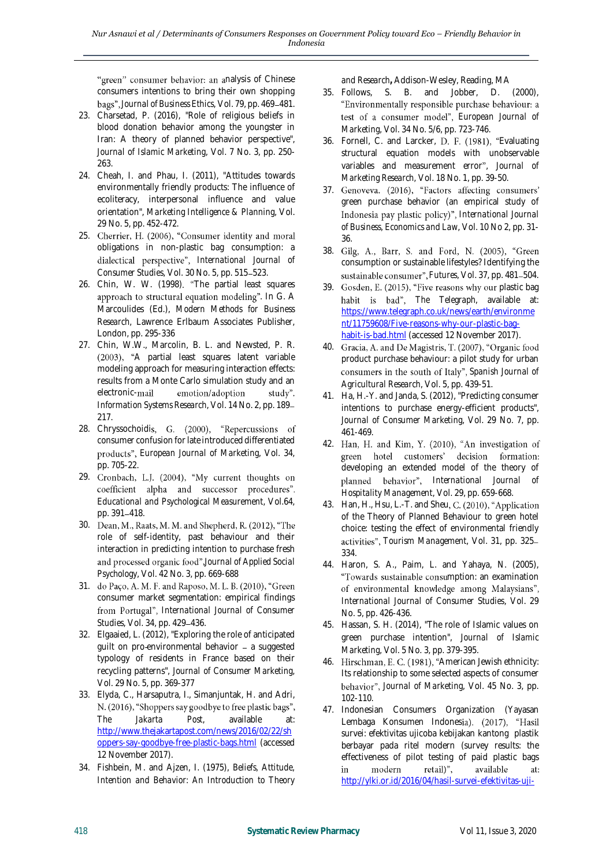"green" consumer behavior: an analysis of Chinese consumers intentions to bring their own shopping bags", Journal of Business Ethics, Vol. 79, pp. 469-481.

- 23. Charsetad, P. (2016), "Role of religious beliefs in blood donation behavior among the youngster in Iran: A theory of planned behavior perspective", *Journal of Islamic Marketing*, Vol. 7 No. 3, pp. 250- 263.
- 24. Cheah, I. and Phau, I. (2011), "Attitudes towards environmentally friendly products: The influence of ecoliteracy, interpersonal influence and value orientation", *Marketing Intelligence & Planning*, Vol. 29 No. 5, pp. 452-472.
- 25. Cherrier, H. (2006), "Consumer identity and moral obligations in non-plastic bag consumption: a *International Journal of Consumer Studies*, Vol. 30 No. 5, pp. 515-523.
- 26. Chin, W. W. (1998). "The partial least squares approach to structural equation modeling". In G. A Marcoulides (Ed.), *Modern Methods for Business Research,* Lawrence Erlbaum Associates Publisher, London, pp. 295-336
- 27. Chin, W.W., Marcolin, B. L. and Newsted, P. R. (2003), "A partial least squares latent variable modeling approach for measuring interaction effects: results from a Monte Carlo simulation study and an electronic-mail emotion/adoption study". *Information Systems Research*, Vol. 14 No. 2, pp. 189 217.
- 28. Chryssochoidis, G. (2000), "Repercussions of consumer confusion for late introduced differentiated *European Journal of Marketing*, Vol. 34, pp. 705-22.
- 29. Cronbach, L.J. (2004), "My current thoughts on coefficient alpha and successor procedures". *Educational and Psychological Measurement*, Vol.64, pp. 391-418.
- 30. Dean, M., Raats, M. M. and Shepherd, R. (2012), "The role of self-identity, past behaviour and their interaction in predicting intention to purchase fresh *Journal of Applied Social Psychology*, Vol. 42 No. 3, pp. 669-688
- 31. do Paço, A. M. F. and Raposo, M. L. B. (2010), "Green consumer market segmentation: empirical findings from Portugal", International Journal of Consumer *Studies*, Vol. 34, pp. 429-436.
- 32. Elgaaied, L. (2012), "Exploring the role of anticipated guilt on pro-environmental behavior - a suggested typology of residents in France based on their recycling patterns", *Journal of Consumer Marketing*, Vol. 29 No. 5, pp. 369-377
- 33. Elyda, C., Harsaputra, I., Simanjuntak, H. and Adri, N. (2016), "Shoppers say goodbye to free plastic bags", *The Jakarta Post*, available at: [http://www.thejakartapost.com/news/2016/02/22/sh](http://www.thejakartapost.com/news/2016/02/22/shoppers-say-goodbye-free-plastic-bags.html) [oppers-say-goodbye-free-plastic-bags.html](http://www.thejakartapost.com/news/2016/02/22/shoppers-say-goodbye-free-plastic-bags.html) (accessed 12 November 2017).
- 34. Fishbein, M. and Ajzen, I. (1975), *Beliefs, Attitude, Intention and Behavior: An Introduction to Theory*

*and Research***,** Addison-Wesley, Reading, MA

- 35. Follows, S. B. and Jobber, D. (2000), test of a consumer model", European Journal of *Marketing*, Vol. 34 No. 5/6, pp. 723-746.
- 36. Fornell, C. and Larcker, D. F. (1981), "Evaluating structural equation models with unobservable variables and measurement error", Journal of *Marketing Research*, Vol. 18 No. 1, pp. 39-50.
- 37. Genoveva. (2016), "Factors affecting consumers' green purchase behavior (an empirical study of *International Journal of Business, Economics and Law*, Vol. 10 No 2, pp. 31- 36.
- 38. Gilg, A., Barr, S. and Ford, N. (2005), "Green consumption or sustainable lifestyles? Identifying the sustainable consumer", Futures, Vol. 37, pp. 481-504.
- 39. Gosden, E. (2015), "Five reasons why our plastic bag *The Telegraph*, available at: [https://www.telegraph.co.uk/news/earth/environme](https://www.telegraph.co.uk/news/earth/environment/11759608/Five-reasons-why-our-plastic-bag-habit-is-bad.html) [nt/11759608/Five-reasons-why-our-plastic-bag](https://www.telegraph.co.uk/news/earth/environment/11759608/Five-reasons-why-our-plastic-bag-habit-is-bad.html)[habit-is-bad.html](https://www.telegraph.co.uk/news/earth/environment/11759608/Five-reasons-why-our-plastic-bag-habit-is-bad.html) (accessed 12 November 2017).
- 40. Gracia, A. and De Magistris, T. (2007), "Organic food product purchase behaviour: a pilot study for urban consumers in the south of Italy", Spanish Journal of *Agricultural Research*, Vol. 5, pp. 439-51.
- 41. Ha, H.-Y. and Janda, S. (2012), "Predicting consumer intentions to purchase energy-efficient products", *Journal of Consumer Marketing*, Vol. 29 No. 7, pp. 461-469.
- 42. Han, H. and Kim, Y. (2010), "An investigation of green hotel customers' decision formation: developing an extended model of the theory of *International Journal of Hospitality Management*, Vol. 29, pp. 659-668.
- 43. Han, H., Hsu, L.-T. and Sheu, C. (2010), "Application of the Theory of Planned Behaviour to green hotel choice: testing the effect of environmental friendly *Tourism Management*, Vol. 31, pp. 325 334.
- 44. Haron, S. A., Paim, L. and Yahaya, N. (2005), "Towards sustainable consumption: an examination of environmental knowledge among Malaysians", *International Journal of Consumer Studies*, Vol. 29 No. 5, pp. 426-436.
- 45. Hassan, S. H. (2014), "The role of Islamic values on green purchase intention", *Journal of Islamic Marketing*, Vol. 5 No. 3, pp. 379-395.
- 46. Hirschman, E. C. (1981), "American Jewish ethnicity: Its relationship to some selected aspects of consumer *Journal of Marketing*, Vol. 45 No. 3, pp. 102-110.
- 47. Indonesian Consumers Organization (Yayasan Lembaga Konsumen Indonesia). (2017), "Hasil survei: efektivitas ujicoba kebijakan kantong plastik berbayar pada ritel modern (survey results: the effectiveness of pilot testing of paid plastic bags in modern retail)", available at: [http://ylki.or.id/2016/04/hasil-survei-efektivitas-uji-](http://ylki.or.id/2016/04/hasil-survei-efektivitas-uji-coba-kebijakan-kantong-plastik-berbayar-pada-ritel-modern/)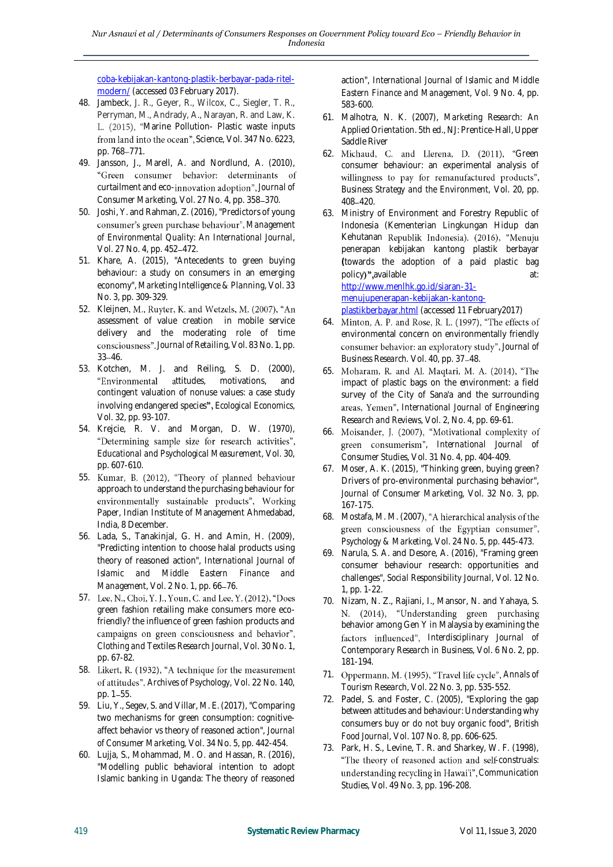[coba-kebijakan-kantong-plastik-berbayar-pada-ritel](http://ylki.or.id/2016/04/hasil-survei-efektivitas-uji-coba-kebijakan-kantong-plastik-berbayar-pada-ritel-modern/)[modern/](http://ylki.or.id/2016/04/hasil-survei-efektivitas-uji-coba-kebijakan-kantong-plastik-berbayar-pada-ritel-modern/) (accessed 03 February 2017).

- 48. Jambeck, J. R., Geyer, R., Wilcox, C., Siegler, T. R., Perryman, M., Andrady, A., Narayan, R. and Law, K. L. (2015), "Marine Pollution- Plastic waste inputs *Science,* Vol. 347 No. 6223, pp. 768-771.
- 49. Jansson, J., Marell, A. and Nordlund, A. (2010), "Green consumer behavior: determinants of curtailment and eco-innovation adoption", Journal of *Consumer Marketing, Vol. 27 No. 4, pp. 358-370.*
- 50. Joshi, Y. and Rahman, Z. (2016), "Predictors of young consumer's green purchase behaviour", Management *of Environmental Quality: An International Journal*, Vol. 27 No. 4, pp. 452-472.
- 51. Khare, A. (2015), "Antecedents to green buying behaviour: a study on consumers in an emerging economy", *Marketing Intelligence & Planning*, Vol. 33 No. 3, pp. 309-329.
- 52. Kleijnen, M., Ruyter, K. and Wetzels, M. (2007), "An assessment of value creation in mobile service delivery and the moderating role of time consciousness". Journal of Retailing, Vol. 83 No. 1, pp.  $33 - 46.$
- 53. Kotchen, M. J. and Reiling, S. D. (2000), "Environmental attitudes, motivations, and contingent valuation of nonuse values: a case study involving endangered species", Ecological Economics, Vol. 32, pp. 93-107.
- 54. Krejcie, R. V. and Morgan, D. W. (1970), "Determining sample size for research activities", *Educational and Psychological Measurement*, Vol. 30, pp. 607-610.
- 55. Kumar, B. (2012), "Theory of planned behaviour approach to understand the purchasing behaviour for environmentally sustainable products", Working Paper, Indian Institute of Management Ahmedabad, India, 8 December.
- 56. Lada, S., Tanakinjal, G. H. and Amin, H. (2009), "Predicting intention to choose halal products using theory of reasoned action", *International Journal of Islamic and Middle Eastern Finance and Management*, Vol. 2 No. 1, pp. 66-76.
- 57. Lee, N., Choi, Y. J., Youn, C. and Lee, Y. (2012), "Does green fashion retailing make consumers more ecofriendly? the influence of green fashion products and campaigns on green consciousness and behavior", *Clothing and Textiles Research Journal*, Vol. 30 No. 1, pp. 67-82.
- 58. Likert, R. (1932), "A technique for the measurement *Archives of Psychology,* Vol. 22 No. 140, pp. 1-55.
- 59. Liu, Y., Segev, S. and Villar, M. E. (2017), "Comparing two mechanisms for green consumption: cognitiveaffect behavior vs theory of reasoned action", *Journal of Consumer Marketing*, Vol. 34 No. 5, pp. 442-454.
- 60. Lujja, S., Mohammad, M. O. and Hassan, R. (2016), "Modelling public behavioral intention to adopt Islamic banking in Uganda: The theory of reasoned

action", *International Journal of Islamic and Middle Eastern Finance and Management*, Vol. 9 No. 4, pp. 583-600.

- 61. Malhotra, N. K. (2007), *Marketing Research: An Applied Orientation*. 5th ed., NJ: Prentice-Hall, Upper Saddle River
- 62. Michaud, C. and Llerena, D. (2011), "Green consumer behaviour: an experimental analysis of willingness to pay for remanufactured products", *Business Strategy and the Environment,* Vol. 20, pp. 408 420.
- 63. Ministry of Environment and Forestry Republic of Indonesia (Kementerian Lingkungan Hidup dan Kehutanan Republik Indonesia). (2016), "Menuju penerapan kebijakan kantong plastik berbayar **(**towards the adoption of a paid plastic bag policy)", available at: [http://www.menlhk.go.id/siaran-31](http://www.menlhk.go.id/siaran-31-menujupenerapan-kebijakan-kantong-plastikberbayar.html) [menujupenerapan-kebijakan-kantong-](http://www.menlhk.go.id/siaran-31-menujupenerapan-kebijakan-kantong-plastikberbayar.html)

[plastikberbayar.html](http://www.menlhk.go.id/siaran-31-menujupenerapan-kebijakan-kantong-plastikberbayar.html) (accessed 11 February2017)

- 64. Minton, A. P. and Rose, R. L. (1997), "The effects of environmental concern on environmentally friendly consumer behavior: an exploratory study", Journal of *Business Research.* Vol. 40, pp. 37-48.
- 65. Moharam, R. and Al. Maqtari, M. A. (2014), "The impact of plastic bags on the environment: a field survey of the City of Sana'a and the surrounding *International Journal of Engineering Research and Reviews*, Vol. 2, No. 4, pp. 69-61.
- 66. Moisander, J. (2007), "Motivational complexity of , *International Journal of Consumer Studies*, Vol. 31 No. 4, pp. 404-409.
- 67. Moser, A. K. (2015), "Thinking green, buying green? Drivers of pro-environmental purchasing behavior", *Journal of Consumer Marketing*, Vol. 32 No. 3, pp. 167-175.
- 68. Mostafa, M. M. (2007), "A hierarchical analysis of the green consciousness of the Egyptian consumer", *Psychology & Marketing*, Vol. 24 No. 5, pp. 445-473.
- 69. Narula, S. A. and Desore, A. (2016), "Framing green consumer behaviour research: opportunities and challenges", *Social Responsibility Journal*, Vol. 12 No. 1, pp. 1-22.
- 70. Nizam, N. Z., Rajiani, I., Mansor, N. and Yahaya, S. N. (2014), "Understanding green purchasing behavior among Gen Y in Malaysia by examining the *Interdisciplinary Journal of Contemporary Research in Business*, Vol. 6 No. 2, pp. 181-194.
- 71. Oppermann, M. (1995), "Travel life cycle", Annals of *Tourism Research*, Vol. 22 No. 3, pp. 535-552.
- 72. Padel, S. and Foster, C. (2005), "Exploring the gap between attitudes and behaviour: Understanding why consumers buy or do not buy organic food", *British Food Journal*, Vol. 107 No. 8, pp. 606-625.
- 73. Park, H. S., Levine, T. R. and Sharkey, W. F. (1998), "The theory of reasoned action and self-construals: understanding recycling in Hawai'i", Communication *Studies*, Vol. 49 No. 3, pp. 196-208.